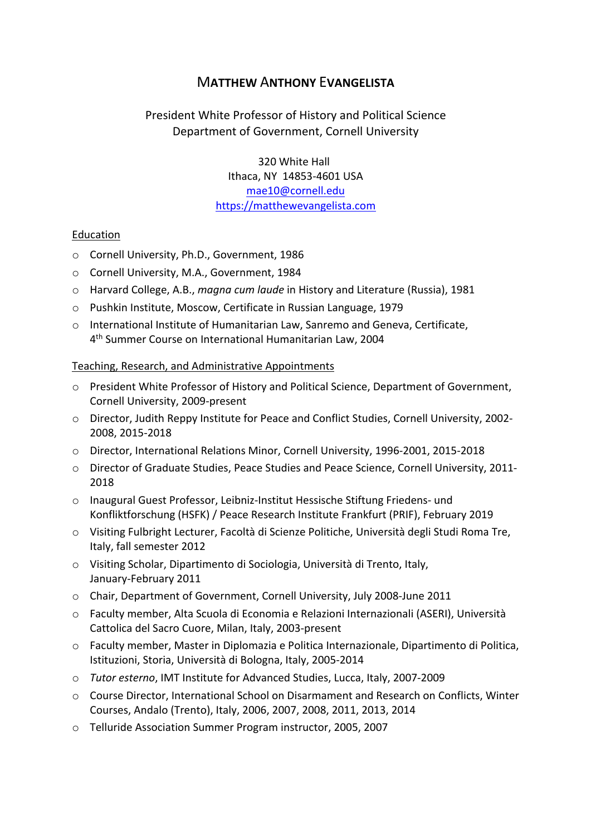# M**ATTHEW** A**NTHONY** E**VANGELISTA**

# President White Professor of History and Political Science Department of Government, Cornell University

 320 White Hall Ithaca, NY 14853-4601 USA mae10@cornell.edu https://matthewevangelista.com

## Education

- o Cornell University, Ph.D., Government, 1986
- o Cornell University, M.A., Government, 1984
- o Harvard College, A.B., *magna cum laude* in History and Literature (Russia), 1981
- o Pushkin Institute, Moscow, Certificate in Russian Language, 1979
- o International Institute of Humanitarian Law, Sanremo and Geneva, Certificate, 4th Summer Course on International Humanitarian Law, 2004

## Teaching, Research, and Administrative Appointments

- o President White Professor of History and Political Science, Department of Government, Cornell University, 2009-present
- o Director, Judith Reppy Institute for Peace and Conflict Studies, Cornell University, 2002- 2008, 2015-2018
- o Director, International Relations Minor, Cornell University, 1996-2001, 2015-2018
- o Director of Graduate Studies, Peace Studies and Peace Science, Cornell University, 2011- 2018
- o Inaugural Guest Professor, Leibniz-Institut Hessische Stiftung Friedens- und Konfliktforschung (HSFK) / Peace Research Institute Frankfurt (PRIF), February 2019
- o Visiting Fulbright Lecturer, Facoltà di Scienze Politiche, Università degli Studi Roma Tre, Italy, fall semester 2012
- o Visiting Scholar, Dipartimento di Sociologia, Università di Trento, Italy, January-February 2011
- o Chair, Department of Government, Cornell University, July 2008-June 2011
- o Faculty member, Alta Scuola di Economia e Relazioni Internazionali (ASERI), Università Cattolica del Sacro Cuore, Milan, Italy, 2003-present
- o Faculty member, Master in Diplomazia e Politica Internazionale, Dipartimento di Politica, Istituzioni, Storia, Università di Bologna, Italy, 2005-2014
- o *Tutor esterno*, IMT Institute for Advanced Studies, Lucca, Italy, 2007-2009
- o Course Director, International School on Disarmament and Research on Conflicts, Winter Courses, Andalo (Trento), Italy, 2006, 2007, 2008, 2011, 2013, 2014
- o Telluride Association Summer Program instructor, 2005, 2007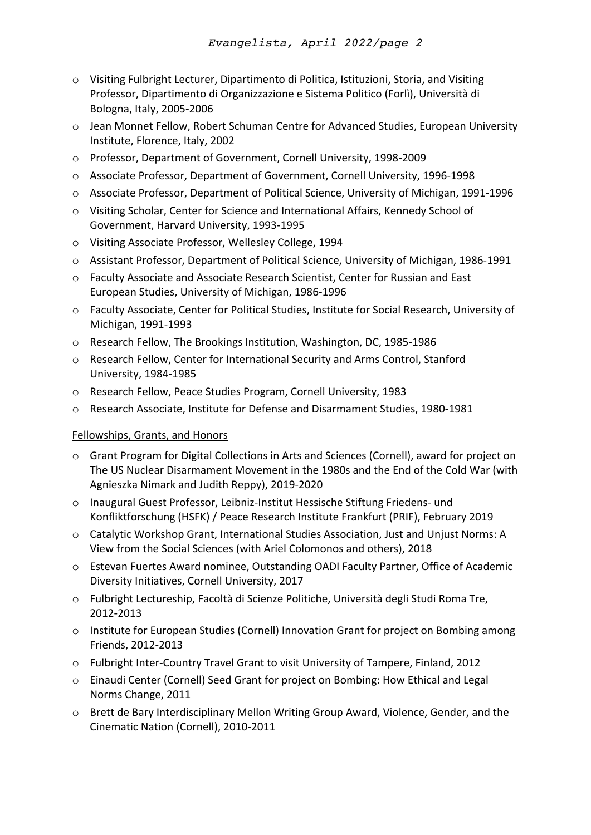- o Visiting Fulbright Lecturer, Dipartimento di Politica, Istituzioni, Storia, and Visiting Professor, Dipartimento di Organizzazione e Sistema Politico (Forlì), Università di Bologna, Italy, 2005-2006
- o Jean Monnet Fellow, Robert Schuman Centre for Advanced Studies, European University Institute, Florence, Italy, 2002
- o Professor, Department of Government, Cornell University, 1998-2009
- o Associate Professor, Department of Government, Cornell University, 1996-1998
- o Associate Professor, Department of Political Science, University of Michigan, 1991-1996
- o Visiting Scholar, Center for Science and International Affairs, Kennedy School of Government, Harvard University, 1993-1995
- o Visiting Associate Professor, Wellesley College, 1994
- o Assistant Professor, Department of Political Science, University of Michigan, 1986-1991
- o Faculty Associate and Associate Research Scientist, Center for Russian and East European Studies, University of Michigan, 1986-1996
- o Faculty Associate, Center for Political Studies, Institute for Social Research, University of Michigan, 1991-1993
- o Research Fellow, The Brookings Institution, Washington, DC, 1985-1986
- o Research Fellow, Center for International Security and Arms Control, Stanford University, 1984-1985
- o Research Fellow, Peace Studies Program, Cornell University, 1983
- o Research Associate, Institute for Defense and Disarmament Studies, 1980-1981

## Fellowships, Grants, and Honors

- o Grant Program for Digital Collections in Arts and Sciences (Cornell), award for project on The US Nuclear Disarmament Movement in the 1980s and the End of the Cold War (with Agnieszka Nimark and Judith Reppy), 2019-2020
- o Inaugural Guest Professor, Leibniz-Institut Hessische Stiftung Friedens- und Konfliktforschung (HSFK) / Peace Research Institute Frankfurt (PRIF), February 2019
- o Catalytic Workshop Grant, International Studies Association, Just and Unjust Norms: A View from the Social Sciences (with Ariel Colomonos and others), 2018
- o Estevan Fuertes Award nominee, Outstanding OADI Faculty Partner, Office of Academic Diversity Initiatives, Cornell University, 2017
- o Fulbright Lectureship, Facoltà di Scienze Politiche, Università degli Studi Roma Tre, 2012-2013
- o Institute for European Studies (Cornell) Innovation Grant for project on Bombing among Friends, 2012-2013
- o Fulbright Inter-Country Travel Grant to visit University of Tampere, Finland, 2012
- o Einaudi Center (Cornell) Seed Grant for project on Bombing: How Ethical and Legal Norms Change, 2011
- o Brett de Bary Interdisciplinary Mellon Writing Group Award, Violence, Gender, and the Cinematic Nation (Cornell), 2010-2011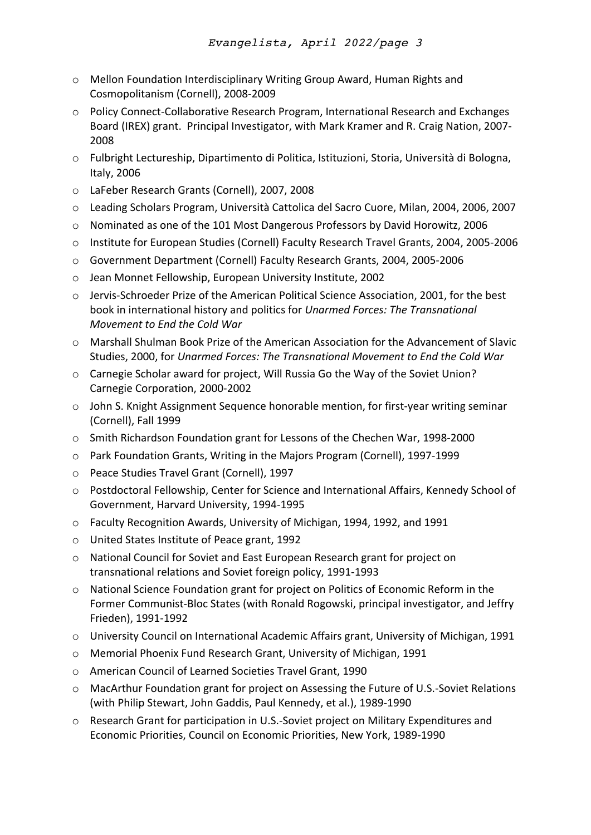- o Mellon Foundation Interdisciplinary Writing Group Award, Human Rights and Cosmopolitanism (Cornell), 2008-2009
- o Policy Connect-Collaborative Research Program, International Research and Exchanges Board (IREX) grant. Principal Investigator, with Mark Kramer and R. Craig Nation, 2007- 2008
- o Fulbright Lectureship, Dipartimento di Politica, Istituzioni, Storia, Università di Bologna, Italy, 2006
- o LaFeber Research Grants (Cornell), 2007, 2008
- o Leading Scholars Program, Università Cattolica del Sacro Cuore, Milan, 2004, 2006, 2007
- o Nominated as one of the 101 Most Dangerous Professors by David Horowitz, 2006
- o Institute for European Studies (Cornell) Faculty Research Travel Grants, 2004, 2005-2006
- o Government Department (Cornell) Faculty Research Grants, 2004, 2005-2006
- o Jean Monnet Fellowship, European University Institute, 2002
- o Jervis-Schroeder Prize of the American Political Science Association, 2001, for the best book in international history and politics for *Unarmed Forces: The Transnational Movement to End the Cold War*
- o Marshall Shulman Book Prize of the American Association for the Advancement of Slavic Studies, 2000, for *Unarmed Forces: The Transnational Movement to End the Cold War*
- o Carnegie Scholar award for project, Will Russia Go the Way of the Soviet Union? Carnegie Corporation, 2000-2002
- o John S. Knight Assignment Sequence honorable mention, for first-year writing seminar (Cornell), Fall 1999
- o Smith Richardson Foundation grant for Lessons of the Chechen War, 1998-2000
- o Park Foundation Grants, Writing in the Majors Program (Cornell), 1997-1999
- o Peace Studies Travel Grant (Cornell), 1997
- o Postdoctoral Fellowship, Center for Science and International Affairs, Kennedy School of Government, Harvard University, 1994-1995
- o Faculty Recognition Awards, University of Michigan, 1994, 1992, and 1991
- o United States Institute of Peace grant, 1992
- o National Council for Soviet and East European Research grant for project on transnational relations and Soviet foreign policy, 1991-1993
- o National Science Foundation grant for project on Politics of Economic Reform in the Former Communist-Bloc States (with Ronald Rogowski, principal investigator, and Jeffry Frieden), 1991-1992
- o University Council on International Academic Affairs grant, University of Michigan, 1991
- o Memorial Phoenix Fund Research Grant, University of Michigan, 1991
- o American Council of Learned Societies Travel Grant, 1990
- o MacArthur Foundation grant for project on Assessing the Future of U.S.-Soviet Relations (with Philip Stewart, John Gaddis, Paul Kennedy, et al.), 1989-1990
- o Research Grant for participation in U.S.-Soviet project on Military Expenditures and Economic Priorities, Council on Economic Priorities, New York, 1989-1990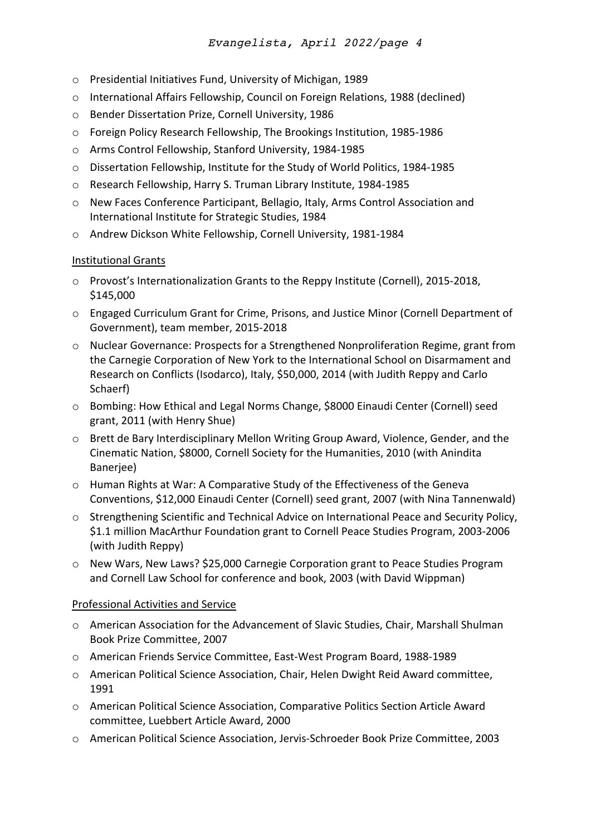- o Presidential Initiatives Fund, University of Michigan, 1989
- o International Affairs Fellowship, Council on Foreign Relations, 1988 (declined)
- o Bender Dissertation Prize, Cornell University, 1986
- o Foreign Policy Research Fellowship, The Brookings Institution, 1985-1986
- o Arms Control Fellowship, Stanford University, 1984-1985
- o Dissertation Fellowship, Institute for the Study of World Politics, 1984-1985
- o Research Fellowship, Harry S. Truman Library Institute, 1984-1985
- o New Faces Conference Participant, Bellagio, Italy, Arms Control Association and International Institute for Strategic Studies, 1984
- o Andrew Dickson White Fellowship, Cornell University, 1981-1984

# Institutional Grants

- $\circ$  Provost's Internationalization Grants to the Reppy Institute (Cornell), 2015-2018, \$145,000
- o Engaged Curriculum Grant for Crime, Prisons, and Justice Minor (Cornell Department of Government), team member, 2015-2018
- o Nuclear Governance: Prospects for a Strengthened Nonproliferation Regime, grant from the Carnegie Corporation of New York to the International School on Disarmament and Research on Conflicts (Isodarco), Italy, \$50,000, 2014 (with Judith Reppy and Carlo Schaerf)
- o Bombing: How Ethical and Legal Norms Change, \$8000 Einaudi Center (Cornell) seed grant, 2011 (with Henry Shue)
- o Brett de Bary Interdisciplinary Mellon Writing Group Award, Violence, Gender, and the Cinematic Nation, \$8000, Cornell Society for the Humanities, 2010 (with Anindita Banerjee)
- o Human Rights at War: A Comparative Study of the Effectiveness of the Geneva Conventions, \$12,000 Einaudi Center (Cornell) seed grant, 2007 (with Nina Tannenwald)
- o Strengthening Scientific and Technical Advice on International Peace and Security Policy, \$1.1 million MacArthur Foundation grant to Cornell Peace Studies Program, 2003-2006 (with Judith Reppy)
- o New Wars, New Laws? \$25,000 Carnegie Corporation grant to Peace Studies Program and Cornell Law School for conference and book, 2003 (with David Wippman)

# Professional Activities and Service

- o American Association for the Advancement of Slavic Studies, Chair, Marshall Shulman Book Prize Committee, 2007
- o American Friends Service Committee, East-West Program Board, 1988-1989
- o American Political Science Association, Chair, Helen Dwight Reid Award committee, 1991
- o American Political Science Association, Comparative Politics Section Article Award committee, Luebbert Article Award, 2000
- o American Political Science Association, Jervis-Schroeder Book Prize Committee, 2003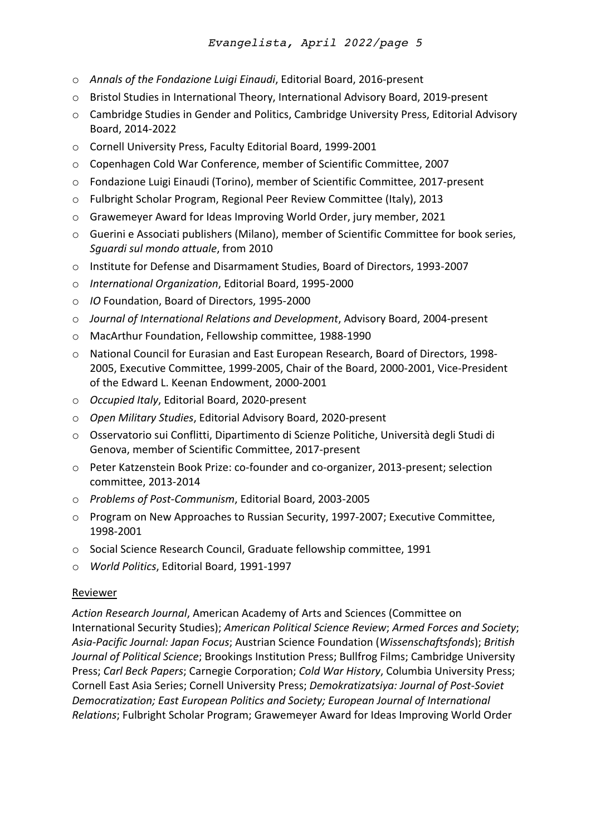- o *Annals of the Fondazione Luigi Einaudi*, Editorial Board, 2016-present
- o Bristol Studies in International Theory, International Advisory Board, 2019-present
- o Cambridge Studies in Gender and Politics, Cambridge University Press, Editorial Advisory Board, 2014-2022
- o Cornell University Press, Faculty Editorial Board, 1999-2001
- o Copenhagen Cold War Conference, member of Scientific Committee, 2007
- o Fondazione Luigi Einaudi (Torino), member of Scientific Committee, 2017-present
- o Fulbright Scholar Program, Regional Peer Review Committee (Italy), 2013
- o Grawemeyer Award for Ideas Improving World Order, jury member, 2021
- o Guerini e Associati publishers (Milano), member of Scientific Committee for book series, *Sguardi sul mondo attuale*, from 2010
- o Institute for Defense and Disarmament Studies, Board of Directors, 1993-2007
- o *International Organization*, Editorial Board, 1995-2000
- o *IO* Foundation, Board of Directors, 1995-2000
- o *Journal of International Relations and Development*, Advisory Board, 2004-present
- o MacArthur Foundation, Fellowship committee, 1988-1990
- o National Council for Eurasian and East European Research, Board of Directors, 1998- 2005, Executive Committee, 1999-2005, Chair of the Board, 2000-2001, Vice-President of the Edward L. Keenan Endowment, 2000-2001
- o *Occupied Italy*, Editorial Board, 2020-present
- o *Open Military Studies*, Editorial Advisory Board, 2020-present
- o Osservatorio sui Conflitti, Dipartimento di Scienze Politiche, Università degli Studi di Genova, member of Scientific Committee, 2017-present
- o Peter Katzenstein Book Prize: co-founder and co-organizer, 2013-present; selection committee, 2013-2014
- o *Problems of Post-Communism*, Editorial Board, 2003-2005
- o Program on New Approaches to Russian Security, 1997-2007; Executive Committee, 1998-2001
- o Social Science Research Council, Graduate fellowship committee, 1991
- o *World Politics*, Editorial Board, 1991-1997

# Reviewer

*Action Research Journal*, American Academy of Arts and Sciences (Committee on International Security Studies); *American Political Science Review*; *Armed Forces and Society*; *Asia-Pacific Journal: Japan Focus*; Austrian Science Foundation (*Wissenschaftsfonds*); *British Journal of Political Science*; Brookings Institution Press; Bullfrog Films; Cambridge University Press; *Carl Beck Papers*; Carnegie Corporation; *Cold War History*, Columbia University Press; Cornell East Asia Series; Cornell University Press; *Demokratizatsiya: Journal of Post-Soviet Democratization; East European Politics and Society; European Journal of International Relations*; Fulbright Scholar Program; Grawemeyer Award for Ideas Improving World Order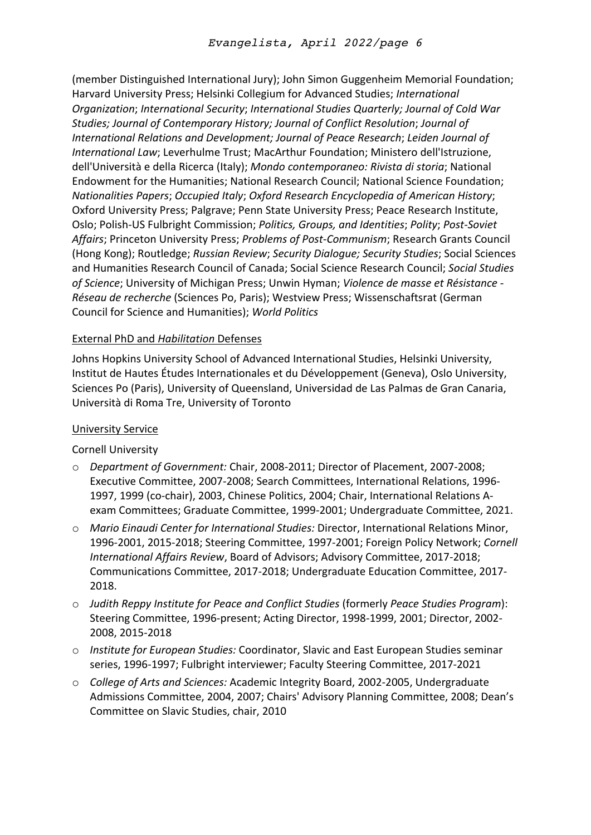(member Distinguished International Jury); John Simon Guggenheim Memorial Foundation; Harvard University Press; Helsinki Collegium for Advanced Studies; *International Organization*; *International Security*; *International Studies Quarterly; Journal of Cold War Studies; Journal of Contemporary History; Journal of Conflict Resolution*; *Journal of International Relations and Development; Journal of Peace Research*; *Leiden Journal of International Law*; Leverhulme Trust; MacArthur Foundation; Ministero dell'Istruzione, dell'Università e della Ricerca (Italy); *Mondo contemporaneo: Rivista di storia*; National Endowment for the Humanities; National Research Council; National Science Foundation; *Nationalities Papers*; *Occupied Italy*; *Oxford Research Encyclopedia of American History*; Oxford University Press; Palgrave; Penn State University Press; Peace Research Institute, Oslo; Polish-US Fulbright Commission; *Politics, Groups, and Identities*; *Polity*; *Post-Soviet Affairs*; Princeton University Press; *Problems of Post-Communism*; Research Grants Council (Hong Kong); Routledge; *Russian Review*; *Security Dialogue; Security Studies*; Social Sciences and Humanities Research Council of Canada; Social Science Research Council; *Social Studies of Science*; University of Michigan Press; Unwin Hyman; *Violence de masse et Résistance - Réseau de recherche* (Sciences Po, Paris); Westview Press; Wissenschaftsrat (German Council for Science and Humanities); *World Politics*

## External PhD and *Habilitation* Defenses

Johns Hopkins University School of Advanced International Studies, Helsinki University, Institut de Hautes Études Internationales et du Développement (Geneva), Oslo University, Sciences Po (Paris), University of Queensland, Universidad de Las Palmas de Gran Canaria, Università di Roma Tre, University of Toronto

# University Service

# Cornell University

- o *Department of Government:* Chair, 2008-2011; Director of Placement, 2007-2008; Executive Committee, 2007-2008; Search Committees, International Relations, 1996- 1997, 1999 (co-chair), 2003, Chinese Politics, 2004; Chair, International Relations Aexam Committees; Graduate Committee, 1999-2001; Undergraduate Committee, 2021.
- o *Mario Einaudi Center for International Studies:* Director, International Relations Minor, 1996-2001, 2015-2018; Steering Committee, 1997-2001; Foreign Policy Network; *Cornell International Affairs Review*, Board of Advisors; Advisory Committee, 2017-2018; Communications Committee, 2017-2018; Undergraduate Education Committee, 2017- 2018.
- o *Judith Reppy Institute for Peace and Conflict Studies* (formerly *Peace Studies Program*): Steering Committee, 1996-present; Acting Director, 1998-1999, 2001; Director, 2002- 2008, 2015-2018
- o *Institute for European Studies:* Coordinator, Slavic and East European Studies seminar series, 1996-1997; Fulbright interviewer; Faculty Steering Committee, 2017-2021
- o *College of Arts and Sciences:* Academic Integrity Board, 2002-2005, Undergraduate Admissions Committee, 2004, 2007; Chairs' Advisory Planning Committee, 2008; Dean's Committee on Slavic Studies, chair, 2010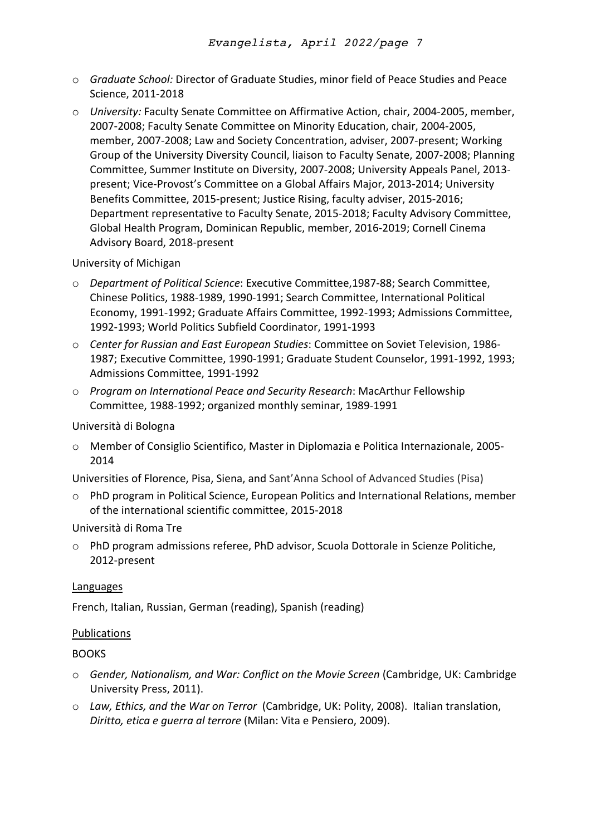- o *Graduate School:* Director of Graduate Studies, minor field of Peace Studies and Peace Science, 2011-2018
- o *University:* Faculty Senate Committee on Affirmative Action, chair, 2004-2005, member, 2007-2008; Faculty Senate Committee on Minority Education, chair, 2004-2005, member, 2007-2008; Law and Society Concentration, adviser, 2007-present; Working Group of the University Diversity Council, liaison to Faculty Senate, 2007-2008; Planning Committee, Summer Institute on Diversity, 2007-2008; University Appeals Panel, 2013 present; Vice-Provost's Committee on a Global Affairs Major, 2013-2014; University Benefits Committee, 2015-present; Justice Rising, faculty adviser, 2015-2016; Department representative to Faculty Senate, 2015-2018; Faculty Advisory Committee, Global Health Program, Dominican Republic, member, 2016-2019; Cornell Cinema Advisory Board, 2018-present

## University of Michigan

- o *Department of Political Science*: Executive Committee,1987-88; Search Committee, Chinese Politics, 1988-1989, 1990-1991; Search Committee, International Political Economy, 1991-1992; Graduate Affairs Committee, 1992-1993; Admissions Committee, 1992-1993; World Politics Subfield Coordinator, 1991-1993
- o *Center for Russian and East European Studies*: Committee on Soviet Television, 1986- 1987; Executive Committee, 1990-1991; Graduate Student Counselor, 1991-1992, 1993; Admissions Committee, 1991-1992
- o *Program on International Peace and Security Research*: MacArthur Fellowship Committee, 1988-1992; organized monthly seminar, 1989-1991

## Università di Bologna

o Member of Consiglio Scientifico, Master in Diplomazia e Politica Internazionale, 2005- 2014

Universities of Florence, Pisa, Siena, and Sant'Anna School of Advanced Studies (Pisa)

o PhD program in Political Science, European Politics and International Relations, member of the international scientific committee, 2015-2018

## Università di Roma Tre

o PhD program admissions referee, PhD advisor, Scuola Dottorale in Scienze Politiche, 2012-present

## Languages

French, Italian, Russian, German (reading), Spanish (reading)

## Publications

## **BOOKS**

- o *Gender, Nationalism, and War: Conflict on the Movie Screen* (Cambridge, UK: Cambridge University Press, 2011).
- o *Law, Ethics, and the War on Terror* (Cambridge, UK: Polity, 2008). Italian translation, *Diritto, etica e guerra al terrore* (Milan: Vita e Pensiero, 2009).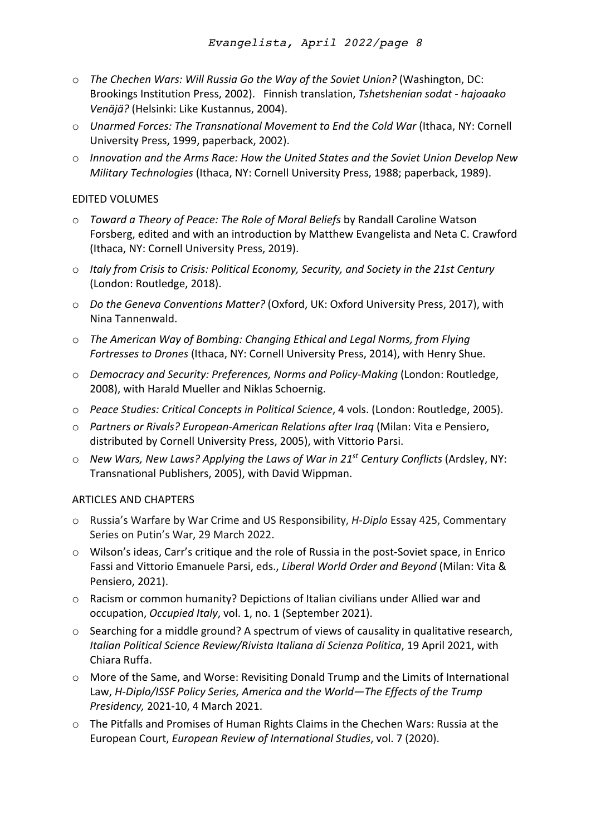- o *The Chechen Wars: Will Russia Go the Way of the Soviet Union?* (Washington, DC: Brookings Institution Press, 2002). Finnish translation, *Tshetshenian sodat* - *hajoaako Venäjä?* (Helsinki: Like Kustannus, 2004).
- o *Unarmed Forces: The Transnational Movement to End the Cold War* (Ithaca, NY: Cornell University Press, 1999, paperback, 2002).
- o *Innovation and the Arms Race: How the United States and the Soviet Union Develop New Military Technologies* (Ithaca, NY: Cornell University Press, 1988; paperback, 1989).

## EDITED VOLUMES

- o *Toward a Theory of Peace: The Role of Moral Beliefs* by Randall Caroline Watson Forsberg, edited and with an introduction by Matthew Evangelista and Neta C. Crawford (Ithaca, NY: Cornell University Press, 2019).
- o *Italy from Crisis to Crisis: Political Economy, Security, and Society in the 21st Century* (London: Routledge, 2018).
- o *Do the Geneva Conventions Matter?* (Oxford, UK: Oxford University Press, 2017), with Nina Tannenwald.
- o *The American Way of Bombing: Changing Ethical and Legal Norms, from Flying Fortresses to Drones* (Ithaca, NY: Cornell University Press, 2014), with Henry Shue.
- o *Democracy and Security: Preferences, Norms and Policy-Making* (London: Routledge, 2008), with Harald Mueller and Niklas Schoernig.
- o *Peace Studies: Critical Concepts in Political Science*, 4 vols. (London: Routledge, 2005).
- o *Partners or Rivals? European-American Relations after Iraq* (Milan: Vita e Pensiero, distributed by Cornell University Press, 2005), with Vittorio Parsi.
- o *New Wars, New Laws? Applying the Laws of War in 21st Century Conflicts* (Ardsley, NY: Transnational Publishers, 2005), with David Wippman.

# ARTICLES AND CHAPTERS

- o Russia's Warfare by War Crime and US Responsibility, *H-Diplo* Essay 425, Commentary Series on Putin's War, 29 March 2022.
- o Wilson's ideas, Carr's critique and the role of Russia in the post-Soviet space, in Enrico Fassi and Vittorio Emanuele Parsi, eds., *Liberal World Order and Beyond* (Milan: Vita & Pensiero, 2021).
- o Racism or common humanity? Depictions of Italian civilians under Allied war and occupation, *Occupied Italy*, vol. 1, no. 1 (September 2021).
- $\circ$  Searching for a middle ground? A spectrum of views of causality in qualitative research, *Italian Political Science Review/Rivista Italiana di Scienza Politica*, 19 April 2021, with Chiara Ruffa.
- o More of the Same, and Worse: Revisiting Donald Trump and the Limits of International Law, *H-Diplo/ISSF Policy Series, America and the World—The Effects of the Trump Presidency,* 2021-10, 4 March 2021.
- o The Pitfalls and Promises of Human Rights Claims in the Chechen Wars: Russia at the European Court, *European Review of International Studies*, vol. 7 (2020).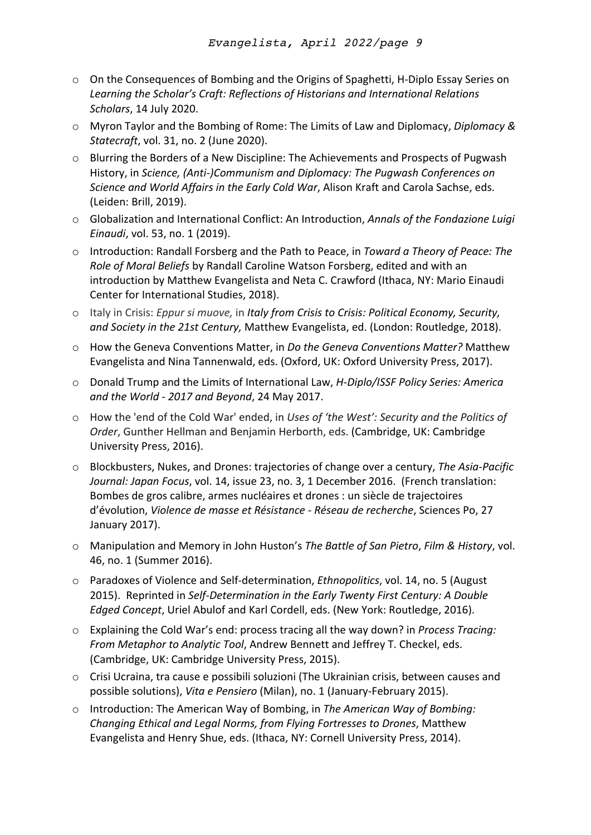- o On the Consequences of Bombing and the Origins of Spaghetti, H-Diplo Essay Series on *Learning the Scholar's Craft: Reflections of Historians and International Relations Scholars*, 14 July 2020.
- o Myron Taylor and the Bombing of Rome: The Limits of Law and Diplomacy, *Diplomacy & Statecraft*, vol. 31, no. 2 (June 2020).
- o Blurring the Borders of a New Discipline: The Achievements and Prospects of Pugwash History, in *Science, (Anti-)Communism and Diplomacy: The Pugwash Conferences on Science and World Affairs in the Early Cold War*, Alison Kraft and Carola Sachse, eds. (Leiden: Brill, 2019).
- o Globalization and International Conflict: An Introduction, *Annals of the Fondazione Luigi Einaudi*, vol. 53, no. 1 (2019).
- o Introduction: Randall Forsberg and the Path to Peace, in *Toward a Theory of Peace: The Role of Moral Beliefs* by Randall Caroline Watson Forsberg, edited and with an introduction by Matthew Evangelista and Neta C. Crawford (Ithaca, NY: Mario Einaudi Center for International Studies, 2018).
- o Italy in Crisis: *Eppur si muove,* in *Italy from Crisis to Crisis: Political Economy, Security, and Society in the 21st Century,* Matthew Evangelista, ed. (London: Routledge, 2018).
- o How the Geneva Conventions Matter, in *Do the Geneva Conventions Matter?* Matthew Evangelista and Nina Tannenwald, eds. (Oxford, UK: Oxford University Press, 2017).
- o Donald Trump and the Limits of International Law, *H-Diplo/ISSF Policy Series: America and the World - 2017 and Beyond*, 24 May 2017.
- o How the 'end of the Cold War' ended, in *Uses of 'the West': Security and the Politics of Order*, Gunther Hellman and Benjamin Herborth, eds. (Cambridge, UK: Cambridge University Press, 2016).
- o Blockbusters, Nukes, and Drones: trajectories of change over a century, *The Asia-Pacific Journal: Japan Focus*, vol. 14, issue 23, no. 3, 1 December 2016. (French translation: Bombes de gros calibre, armes nucléaires et drones : un siècle de trajectoires d'évolution, *Violence de masse et Résistance - Réseau de recherche*, Sciences Po, 27 January 2017).
- o Manipulation and Memory in John Huston's *The Battle of San Pietro*, *Film & History*, vol. 46, no. 1 (Summer 2016).
- o Paradoxes of Violence and Self-determination, *Ethnopolitics*, vol. 14, no. 5 (August 2015). Reprinted in *Self-Determination in the Early Twenty First Century: A Double Edged Concept*, Uriel Abulof and Karl Cordell, eds. (New York: Routledge, 2016).
- o Explaining the Cold War's end: process tracing all the way down? in *Process Tracing: From Metaphor to Analytic Tool*, Andrew Bennett and Jeffrey T. Checkel, eds. (Cambridge, UK: Cambridge University Press, 2015).
- o Crisi Ucraina, tra cause e possibili soluzioni (The Ukrainian crisis, between causes and possible solutions), *Vita e Pensiero* (Milan), no. 1 (January-February 2015).
- o Introduction: The American Way of Bombing, in *The American Way of Bombing: Changing Ethical and Legal Norms, from Flying Fortresses to Drones*, Matthew Evangelista and Henry Shue, eds. (Ithaca, NY: Cornell University Press, 2014).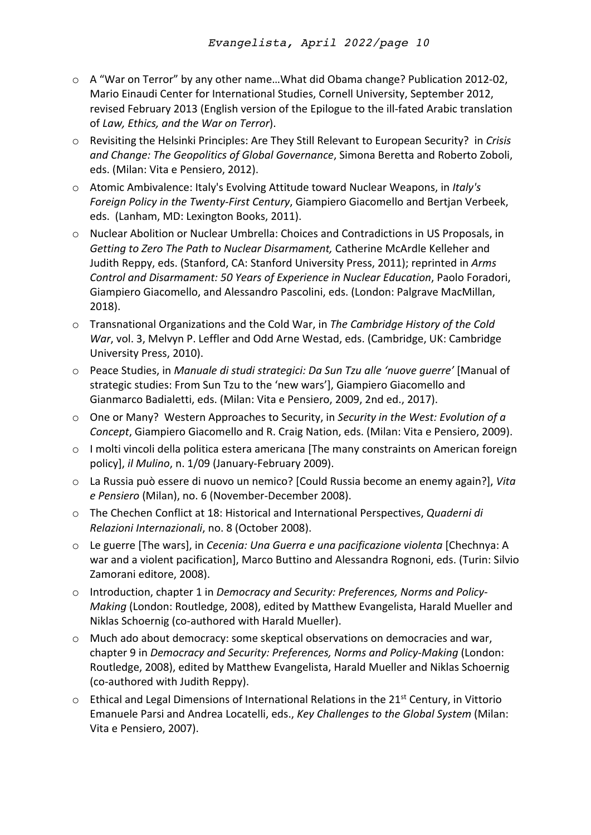- o A "War on Terror" by any other name…What did Obama change? Publication 2012-02, Mario Einaudi Center for International Studies, Cornell University, September 2012, revised February 2013 (English version of the Epilogue to the ill-fated Arabic translation of *Law, Ethics, and the War on Terror*).
- o Revisiting the Helsinki Principles: Are They Still Relevant to European Security? in *Crisis and Change: The Geopolitics of Global Governance*, Simona Beretta and Roberto Zoboli, eds. (Milan: Vita e Pensiero, 2012).
- o Atomic Ambivalence: Italy's Evolving Attitude toward Nuclear Weapons, in *Italy's Foreign Policy in the Twenty-First Century*, Giampiero Giacomello and Bertjan Verbeek, eds. (Lanham, MD: Lexington Books, 2011).
- o Nuclear Abolition or Nuclear Umbrella: Choices and Contradictions in US Proposals, in *Getting to Zero The Path to Nuclear Disarmament,* Catherine McArdle Kelleher and Judith Reppy, eds. (Stanford, CA: Stanford University Press, 2011); reprinted in *Arms Control and Disarmament: 50 Years of Experience in Nuclear Education*, Paolo Foradori, Giampiero Giacomello, and Alessandro Pascolini, eds. (London: Palgrave MacMillan, 2018).
- o Transnational Organizations and the Cold War, in *The Cambridge History of the Cold War*, vol. 3, Melvyn P. Leffler and Odd Arne Westad, eds. (Cambridge, UK: Cambridge University Press, 2010).
- o Peace Studies, in *Manuale di studi strategici: Da Sun Tzu alle 'nuove guerre'* [Manual of strategic studies: From Sun Tzu to the 'new wars'], Giampiero Giacomello and Gianmarco Badialetti, eds. (Milan: Vita e Pensiero, 2009, 2nd ed., 2017).
- o One or Many? Western Approaches to Security, in *Security in the West: Evolution of a Concept*, Giampiero Giacomello and R. Craig Nation, eds. (Milan: Vita e Pensiero, 2009).
- o I molti vincoli della politica estera americana [The many constraints on American foreign policy], *il Mulino*, n. 1/09 (January-February 2009).
- o La Russia può essere di nuovo un nemico? [Could Russia become an enemy again?], *Vita e Pensiero* (Milan), no. 6 (November-December 2008).
- o The Chechen Conflict at 18: Historical and International Perspectives, *Quaderni di Relazioni Internazionali*, no. 8 (October 2008).
- o Le guerre [The wars], in *Cecenia: Una Guerra e una pacificazione violenta* [Chechnya: A war and a violent pacification], Marco Buttino and Alessandra Rognoni, eds. (Turin: Silvio Zamorani editore, 2008).
- o Introduction, chapter 1 in *Democracy and Security: Preferences, Norms and Policy-Making* (London: Routledge, 2008), edited by Matthew Evangelista, Harald Mueller and Niklas Schoernig (co-authored with Harald Mueller).
- o Much ado about democracy: some skeptical observations on democracies and war, chapter 9 in *Democracy and Security: Preferences, Norms and Policy-Making* (London: Routledge, 2008), edited by Matthew Evangelista, Harald Mueller and Niklas Schoernig (co-authored with Judith Reppy).
- $\circ$  Ethical and Legal Dimensions of International Relations in the 21<sup>st</sup> Century, in Vittorio Emanuele Parsi and Andrea Locatelli, eds., *Key Challenges to the Global System* (Milan: Vita e Pensiero, 2007).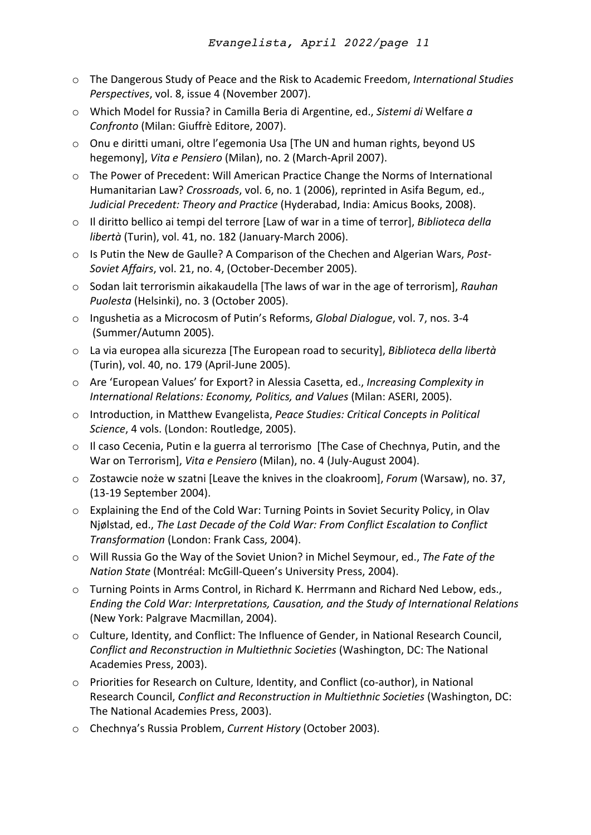- o The Dangerous Study of Peace and the Risk to Academic Freedom, *International Studies Perspectives*, vol. 8, issue 4 (November 2007).
- o Which Model for Russia? in Camilla Beria di Argentine, ed., *Sistemi di* Welfare *a Confronto* (Milan: Giuffrè Editore, 2007).
- o Onu e diritti umani, oltre l'egemonia Usa [The UN and human rights, beyond US hegemony], *Vita e Pensiero* (Milan), no. 2 (March-April 2007).
- o The Power of Precedent: Will American Practice Change the Norms of International Humanitarian Law? *Crossroads*, vol. 6, no. 1 (2006), reprinted in Asifa Begum, ed., *Judicial Precedent: Theory and Practice* (Hyderabad, India: Amicus Books, 2008).
- o Il diritto bellico ai tempi del terrore [Law of war in a time of terror], *Biblioteca della libertà* (Turin), vol. 41, no. 182 (January-March 2006).
- o Is Putin the New de Gaulle? A Comparison of the Chechen and Algerian Wars, *Post-Soviet Affairs*, vol. 21, no. 4, (October-December 2005).
- o Sodan lait terrorismin aikakaudella [The laws of war in the age of terrorism], *Rauhan Puolesta* (Helsinki), no. 3 (October 2005).
- o Ingushetia as a Microcosm of Putin's Reforms, *Global Dialogue*, vol. 7, nos. 3-4 (Summer/Autumn 2005).
- o La via europea alla sicurezza [The European road to security], *Biblioteca della libertà* (Turin), vol. 40, no. 179 (April-June 2005).
- o Are 'European Values' for Export? in Alessia Casetta, ed., *Increasing Complexity in International Relations: Economy, Politics, and Values* (Milan: ASERI, 2005).
- o Introduction, in Matthew Evangelista, *Peace Studies: Critical Concepts in Political Science*, 4 vols. (London: Routledge, 2005).
- o Il caso Cecenia, Putin e la guerra al terrorismo [The Case of Chechnya, Putin, and the War on Terrorism], *Vita e Pensiero* (Milan), no. 4 (July-August 2004).
- o Zostawcie noże w szatni [Leave the knives in the cloakroom], *Forum* (Warsaw), no. 37, (13-19 September 2004).
- o Explaining the End of the Cold War: Turning Points in Soviet Security Policy, in Olav Njølstad, ed., *The Last Decade of the Cold War: From Conflict Escalation to Conflict Transformation* (London: Frank Cass, 2004).
- o Will Russia Go the Way of the Soviet Union? in Michel Seymour, ed., *The Fate of the Nation State* (Montréal: McGill-Queen's University Press, 2004).
- o Turning Points in Arms Control, in Richard K. Herrmann and Richard Ned Lebow, eds., *Ending the Cold War: Interpretations, Causation, and the Study of International Relations* (New York: Palgrave Macmillan, 2004).
- o Culture, Identity, and Conflict: The Influence of Gender, in National Research Council, *Conflict and Reconstruction in Multiethnic Societies* (Washington, DC: The National Academies Press, 2003).
- o Priorities for Research on Culture, Identity, and Conflict (co-author), in National Research Council, *Conflict and Reconstruction in Multiethnic Societies* (Washington, DC: The National Academies Press, 2003).
- o Chechnya's Russia Problem, *Current History* (October 2003).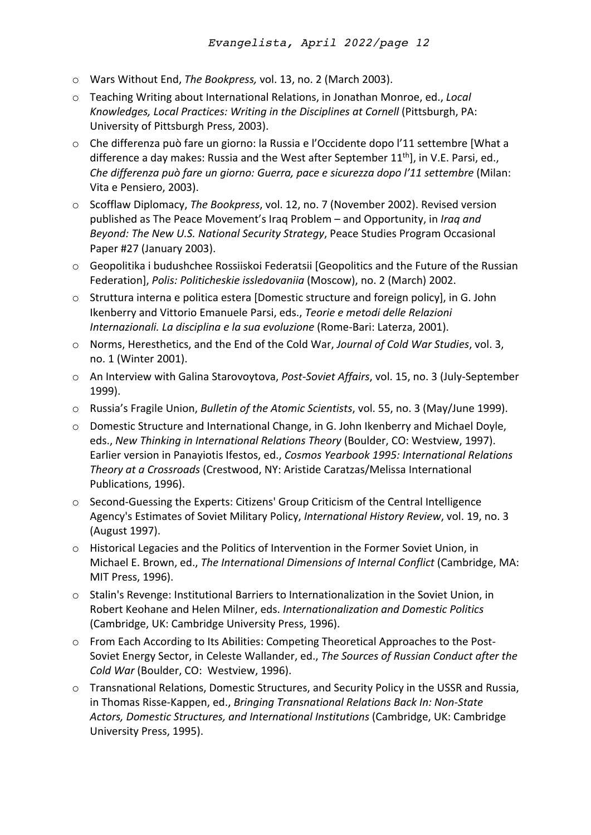- o Wars Without End, *The Bookpress,* vol. 13, no. 2 (March 2003).
- o Teaching Writing about International Relations, in Jonathan Monroe, ed., *Local Knowledges, Local Practices: Writing in the Disciplines at Cornell* (Pittsburgh, PA: University of Pittsburgh Press, 2003).
- o Che differenza può fare un giorno: la Russia e l'Occidente dopo l'11 settembre [What a difference a day makes: Russia and the West after September 11<sup>th</sup>], in V.E. Parsi, ed., *Che differenza può fare un giorno: Guerra, pace e sicurezza dopo l'11 settembre* (Milan: Vita e Pensiero, 2003).
- o Scofflaw Diplomacy, *The Bookpress*, vol. 12, no. 7 (November 2002). Revised version published as The Peace Movement's Iraq Problem – and Opportunity, in *Iraq and Beyond: The New U.S. National Security Strategy*, Peace Studies Program Occasional Paper #27 (January 2003).
- o Geopolitika i budushchee Rossiiskoi Federatsii [Geopolitics and the Future of the Russian Federation], *Polis: Politicheskie issledovaniia* (Moscow), no. 2 (March) 2002.
- o Struttura interna e politica estera [Domestic structure and foreign policy], in G. John Ikenberry and Vittorio Emanuele Parsi, eds., *Teorie e metodi delle Relazioni Internazionali. La disciplina e la sua evoluzione* (Rome-Bari: Laterza, 2001).
- o Norms, Heresthetics, and the End of the Cold War, *Journal of Cold War Studies*, vol. 3, no. 1 (Winter 2001).
- o An Interview with Galina Starovoytova, *Post-Soviet Affairs*, vol. 15, no. 3 (July-September 1999).
- o Russia's Fragile Union, *Bulletin of the Atomic Scientists*, vol. 55, no. 3 (May/June 1999).
- o Domestic Structure and International Change, in G. John Ikenberry and Michael Doyle, eds., *New Thinking in International Relations Theory* (Boulder, CO: Westview, 1997). Earlier version in Panayiotis Ifestos, ed., *Cosmos Yearbook 1995: International Relations Theory at a Crossroads* (Crestwood, NY: Aristide Caratzas/Melissa International Publications, 1996).
- o Second-Guessing the Experts: Citizens' Group Criticism of the Central Intelligence Agency's Estimates of Soviet Military Policy, *International History Review*, vol. 19, no. 3 (August 1997).
- o Historical Legacies and the Politics of Intervention in the Former Soviet Union, in Michael E. Brown, ed., *The International Dimensions of Internal Conflict* (Cambridge, MA: MIT Press, 1996).
- o Stalin's Revenge: Institutional Barriers to Internationalization in the Soviet Union, in Robert Keohane and Helen Milner, eds. *Internationalization and Domestic Politics*  (Cambridge, UK: Cambridge University Press, 1996).
- o From Each According to Its Abilities: Competing Theoretical Approaches to the Post-Soviet Energy Sector, in Celeste Wallander, ed., *The Sources of Russian Conduct after the Cold War* (Boulder, CO: Westview, 1996).
- o Transnational Relations, Domestic Structures, and Security Policy in the USSR and Russia, in Thomas Risse-Kappen, ed., *Bringing Transnational Relations Back In: Non-State Actors, Domestic Structures, and International Institutions* (Cambridge, UK: Cambridge University Press, 1995).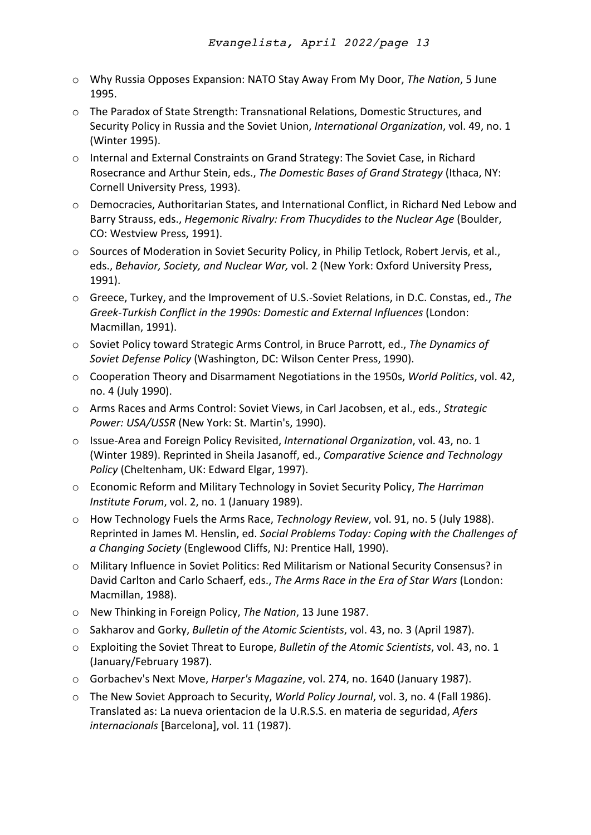- o Why Russia Opposes Expansion: NATO Stay Away From My Door, *The Nation*, 5 June 1995.
- o The Paradox of State Strength: Transnational Relations, Domestic Structures, and Security Policy in Russia and the Soviet Union, *International Organization*, vol. 49, no. 1 (Winter 1995).
- o Internal and External Constraints on Grand Strategy: The Soviet Case, in Richard Rosecrance and Arthur Stein, eds., *The Domestic Bases of Grand Strategy* (Ithaca, NY: Cornell University Press, 1993).
- o Democracies, Authoritarian States, and International Conflict, in Richard Ned Lebow and Barry Strauss, eds., *Hegemonic Rivalry: From Thucydides to the Nuclear Age* (Boulder, CO: Westview Press, 1991).
- o Sources of Moderation in Soviet Security Policy, in Philip Tetlock, Robert Jervis, et al., eds., *Behavior, Society, and Nuclear War,* vol. 2 (New York: Oxford University Press, 1991).
- o Greece, Turkey, and the Improvement of U.S.-Soviet Relations, in D.C. Constas, ed., *The Greek-Turkish Conflict in the 1990s: Domestic and External Influences* (London: Macmillan, 1991).
- o Soviet Policy toward Strategic Arms Control, in Bruce Parrott, ed., *The Dynamics of Soviet Defense Policy* (Washington, DC: Wilson Center Press, 1990).
- o Cooperation Theory and Disarmament Negotiations in the 1950s, *World Politics*, vol. 42, no. 4 (July 1990).
- o Arms Races and Arms Control: Soviet Views, in Carl Jacobsen, et al., eds., *Strategic Power: USA/USSR* (New York: St. Martin's, 1990).
- o Issue-Area and Foreign Policy Revisited, *International Organization*, vol. 43, no. 1 (Winter 1989). Reprinted in Sheila Jasanoff, ed., *Comparative Science and Technology Policy* (Cheltenham, UK: Edward Elgar, 1997).
- o Economic Reform and Military Technology in Soviet Security Policy, *The Harriman Institute Forum*, vol. 2, no. 1 (January 1989).
- o How Technology Fuels the Arms Race, *Technology Review*, vol. 91, no. 5 (July 1988). Reprinted in James M. Henslin, ed. *Social Problems Today: Coping with the Challenges of a Changing Society* (Englewood Cliffs, NJ: Prentice Hall, 1990).
- o Military Influence in Soviet Politics: Red Militarism or National Security Consensus? in David Carlton and Carlo Schaerf, eds., *The Arms Race in the Era of Star Wars* (London: Macmillan, 1988).
- o New Thinking in Foreign Policy, *The Nation*, 13 June 1987.
- o Sakharov and Gorky, *Bulletin of the Atomic Scientists*, vol. 43, no. 3 (April 1987).
- o Exploiting the Soviet Threat to Europe, *Bulletin of the Atomic Scientists*, vol. 43, no. 1 (January/February 1987).
- o Gorbachev's Next Move, *Harper's Magazine*, vol. 274, no. 1640 (January 1987).
- o The New Soviet Approach to Security, *World Policy Journal*, vol. 3, no. 4 (Fall 1986). Translated as: La nueva orientacion de la U.R.S.S. en materia de seguridad, *Afers internacionals* [Barcelona], vol. 11 (1987).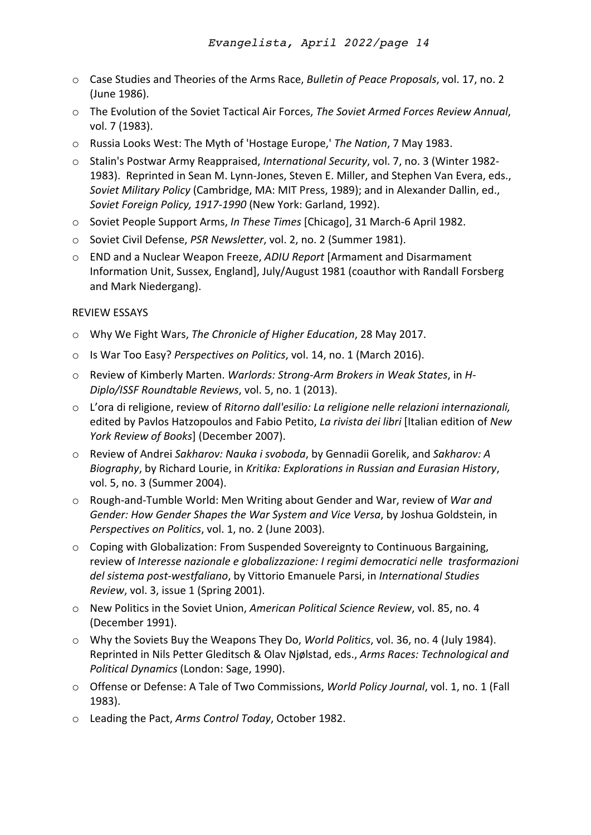- o Case Studies and Theories of the Arms Race, *Bulletin of Peace Proposals*, vol. 17, no. 2 (June 1986).
- o The Evolution of the Soviet Tactical Air Forces, *The Soviet Armed Forces Review Annual*, vol. 7 (1983).
- o Russia Looks West: The Myth of 'Hostage Europe,' *The Nation*, 7 May 1983.
- o Stalin's Postwar Army Reappraised, *International Security*, vol. 7, no. 3 (Winter 1982- 1983). Reprinted in Sean M. Lynn-Jones, Steven E. Miller, and Stephen Van Evera, eds., *Soviet Military Policy* (Cambridge, MA: MIT Press, 1989); and in Alexander Dallin, ed., *Soviet Foreign Policy, 1917-1990* (New York: Garland, 1992).
- o Soviet People Support Arms, *In These Times* [Chicago], 31 March-6 April 1982.
- o Soviet Civil Defense, *PSR Newsletter*, vol. 2, no. 2 (Summer 1981).
- o END and a Nuclear Weapon Freeze, *ADIU Report* [Armament and Disarmament Information Unit, Sussex, England], July/August 1981 (coauthor with Randall Forsberg and Mark Niedergang).

# REVIEW ESSAYS

- o Why We Fight Wars, *The Chronicle of Higher Education*, 28 May 2017.
- o Is War Too Easy? *Perspectives on Politics*, vol. 14, no. 1 (March 2016).
- o Review of Kimberly Marten. *Warlords: Strong-Arm Brokers in Weak States*, in *H-Diplo/ISSF Roundtable Reviews*, vol. 5, no. 1 (2013).
- o L'ora di religione, review of *Ritorno dall'esilio: La religione nelle relazioni internazionali,*  edited by Pavlos Hatzopoulos and Fabio Petito, *La rivista dei libri* [Italian edition of *New York Review of Books*] (December 2007).
- o Review of Andrei *Sakharov: Nauka i svoboda*, by Gennadii Gorelik, and *Sakharov: A Biography*, by Richard Lourie, in *Kritika: Explorations in Russian and Eurasian History*, vol. 5, no. 3 (Summer 2004).
- o Rough-and-Tumble World: Men Writing about Gender and War, review of *War and Gender: How Gender Shapes the War System and Vice Versa*, by Joshua Goldstein, in *Perspectives on Politics*, vol. 1, no. 2 (June 2003).
- o Coping with Globalization: From Suspended Sovereignty to Continuous Bargaining, review of *Interesse nazionale e globalizzazione: I regimi democratici nelle trasformazioni del sistema post-westfaliano*, by Vittorio Emanuele Parsi, in *International Studies Review*, vol. 3, issue 1 (Spring 2001).
- o New Politics in the Soviet Union, *American Political Science Review*, vol. 85, no. 4 (December 1991).
- o Why the Soviets Buy the Weapons They Do, *World Politics*, vol. 36, no. 4 (July 1984). Reprinted in Nils Petter Gleditsch & Olav Njølstad, eds., *Arms Races: Technological and Political Dynamics* (London: Sage, 1990).
- o Offense or Defense: A Tale of Two Commissions, *World Policy Journal*, vol. 1, no. 1 (Fall 1983).
- o Leading the Pact, *Arms Control Today*, October 1982.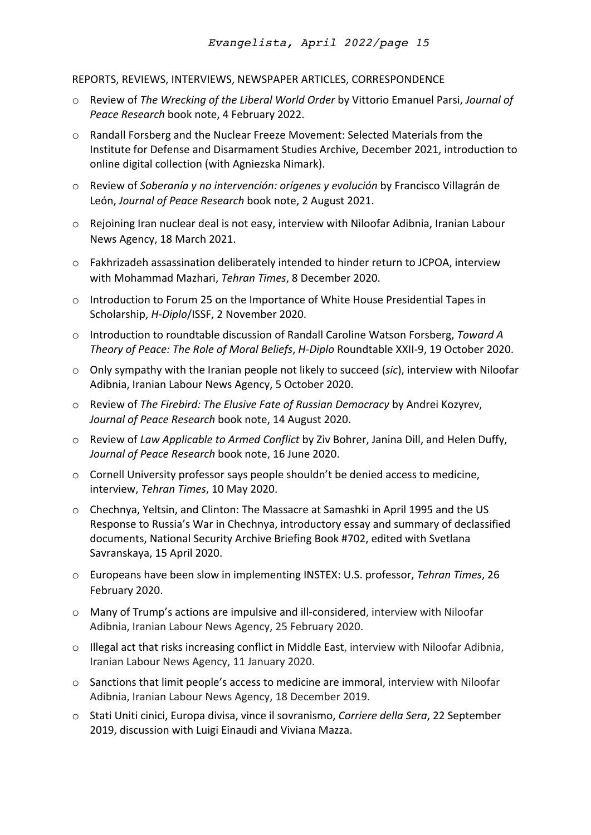## REPORTS, REVIEWS, INTERVIEWS, NEWSPAPER ARTICLES, CORRESPONDENCE

- o Review of *The Wrecking of the Liberal World Order* by Vittorio Emanuel Parsi, *Journal of Peace Research* book note, 4 February 2022.
- o Randall Forsberg and the Nuclear Freeze Movement: Selected Materials from the Institute for Defense and Disarmament Studies Archive, December 2021, introduction to online digital collection (with Agniezska Nimark).
- o Review of *Soberanía y no intervención: orígenes y evolución* by Francisco Villagrán de León, *Journal of Peace Research* book note, 2 August 2021.
- o Rejoining Iran nuclear deal is not easy, interview with Niloofar Adibnia, Iranian Labour News Agency, 18 March 2021.
- o Fakhrizadeh assassination deliberately intended to hinder return to JCPOA, interview with Mohammad Mazhari, *Tehran Times*, 8 December 2020.
- o Introduction to Forum 25 on the Importance of White House Presidential Tapes in Scholarship, *H-Diplo*/ISSF, 2 November 2020.
- o Introduction to roundtable discussion of Randall Caroline Watson Forsberg, *Toward A Theory of Peace: The Role of Moral Beliefs*, *H-Diplo* Roundtable XXII-9, 19 October 2020.
- o Only sympathy with the Iranian people not likely to succeed (*sic*), interview with Niloofar Adibnia, Iranian Labour News Agency, 5 October 2020.
- o Review of *The Firebird: The Elusive Fate of Russian Democracy* by Andrei Kozyrev, *Journal of Peace Research* book note, 14 August 2020.
- o Review of *Law Applicable to Armed Conflict* by Ziv Bohrer, Janina Dill, and Helen Duffy, *Journal of Peace Research* book note, 16 June 2020.
- o Cornell University professor says people shouldn't be denied access to medicine, interview, *Tehran Times*, 10 May 2020.
- o Chechnya, Yeltsin, and Clinton: The Massacre at Samashki in April 1995 and the US Response to Russia's War in Chechnya, introductory essay and summary of declassified documents, National Security Archive Briefing Book #702, edited with Svetlana Savranskaya, 15 April 2020.
- o Europeans have been slow in implementing INSTEX: U.S. professor, *Tehran Times*, 26 February 2020.
- o Many of Trump's actions are impulsive and ill-considered, interview with Niloofar Adibnia, Iranian Labour News Agency, 25 February 2020.
- $\circ$  Illegal act that risks increasing conflict in Middle East, interview with Niloofar Adibnia, Iranian Labour News Agency, 11 January 2020.
- $\circ$  Sanctions that limit people's access to medicine are immoral, interview with Niloofar Adibnia, Iranian Labour News Agency, 18 December 2019.
- o Stati Uniti cinici, Europa divisa, vince il sovranismo, *Corriere della Sera*, 22 September 2019, discussion with Luigi Einaudi and Viviana Mazza.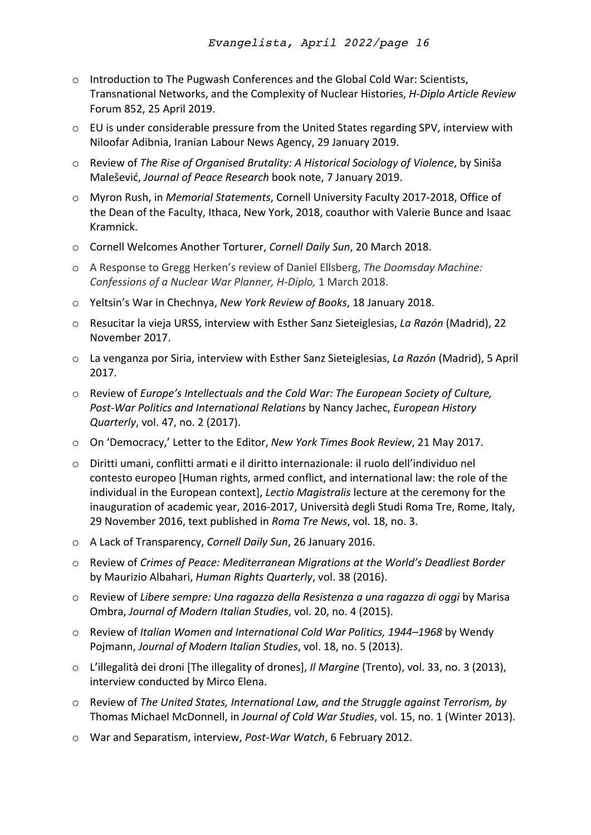- o Introduction to The Pugwash Conferences and the Global Cold War: Scientists, Transnational Networks, and the Complexity of Nuclear Histories, *H-Diplo Article Review* Forum 852, 25 April 2019.
- $\circ$  EU is under considerable pressure from the United States regarding SPV, interview with Niloofar Adibnia, Iranian Labour News Agency, 29 January 2019.
- o Review of *The Rise of Organised Brutality: A Historical Sociology of Violence*, by Siniša Malešević, *Journal of Peace Research* book note, 7 January 2019.
- o Myron Rush, in *Memorial Statements*, Cornell University Faculty 2017-2018, Office of the Dean of the Faculty, Ithaca, New York, 2018, coauthor with Valerie Bunce and Isaac Kramnick.
- o Cornell Welcomes Another Torturer, *Cornell Daily Sun*, 20 March 2018.
- o A Response to Gregg Herken's review of Daniel Ellsberg, *The Doomsday Machine: Confessions of a Nuclear War Planner, H-Diplo,* 1 March 2018.
- o Yeltsin's War in Chechnya, *New York Review of Books*, 18 January 2018.
- o Resucitar la vieja URSS, interview with Esther Sanz Sieteiglesias, *La Razón* (Madrid), 22 November 2017.
- o La venganza por Siria, interview with Esther Sanz Sieteiglesias, *La Razón* (Madrid), 5 April 2017.
- o Review of *Europe's Intellectuals and the Cold War: The European Society of Culture, Post-War Politics and International Relations* by Nancy Jachec, *European History Quarterly*, vol. 47, no. 2 (2017).
- o On 'Democracy,' Letter to the Editor, *New York Times Book Review*, 21 May 2017.
- o Diritti umani, conflitti armati e il diritto internazionale: il ruolo dell'individuo nel contesto europeo [Human rights, armed conflict, and international law: the role of the individual in the European context], *Lectio Magistralis* lecture at the ceremony for the inauguration of academic year, 2016-2017, Università degli Studi Roma Tre, Rome, Italy, 29 November 2016, text published in *Roma Tre News*, vol. 18, no. 3.
- o A Lack of Transparency, *Cornell Daily Sun*, 26 January 2016.
- o Review of *Crimes of Peace: Mediterranean Migrations at the World's Deadliest Border* by Maurizio Albahari, *Human Rights Quarterly*, vol. 38 (2016).
- o Review of *Libere sempre: Una ragazza della Resistenza a una ragazza di oggi* by Marisa Ombra, *Journal of Modern Italian Studies*, vol. 20, no. 4 (2015).
- o Review of *Italian Women and International Cold War Politics, 1944–1968* by Wendy Pojmann, *Journal of Modern Italian Studies*, vol. 18, no. 5 (2013).
- o L'illegalità dei droni [The illegality of drones], *Il Margine* (Trento), vol. 33, no. 3 (2013), interview conducted by Mirco Elena.
- o Review of *The United States, International Law, and the Struggle against Terrorism, by*  Thomas Michael McDonnell, in *Journal of Cold War Studies*, vol. 15, no. 1 (Winter 2013).
- o War and Separatism, interview, *Post-War Watch*, 6 February 2012.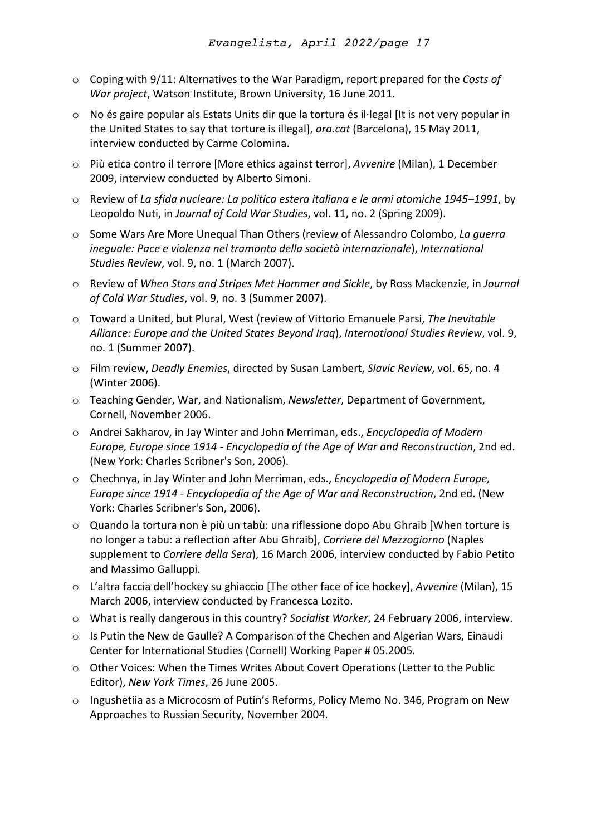- o Coping with 9/11: Alternatives to the War Paradigm, report prepared for the *Costs of War project*, Watson Institute, Brown University, 16 June 2011.
- o No és gaire popular als Estats Units dir que la tortura és il·legal [It is not very popular in the United States to say that torture is illegal], *ara.cat* (Barcelona), 15 May 2011, interview conducted by Carme Colomina.
- o Più etica contro il terrore [More ethics against terror], *Avvenire* (Milan), 1 December 2009, interview conducted by Alberto Simoni.
- o Review of *La sfida nucleare: La politica estera italiana e le armi atomiche 1945–1991*, by Leopoldo Nuti, in *Journal of Cold War Studies*, vol. 11, no. 2 (Spring 2009).
- o Some Wars Are More Unequal Than Others (review of Alessandro Colombo, *La guerra ineguale: Pace e violenza nel tramonto della società internazionale*), *International Studies Review*, vol. 9, no. 1 (March 2007).
- o Review of *When Stars and Stripes Met Hammer and Sickle*, by Ross Mackenzie, in *Journal of Cold War Studies*, vol. 9, no. 3 (Summer 2007).
- o Toward a United, but Plural, West (review of Vittorio Emanuele Parsi, *The Inevitable Alliance: Europe and the United States Beyond Iraq*), *International Studies Review*, vol. 9, no. 1 (Summer 2007).
- o Film review, *Deadly Enemies*, directed by Susan Lambert, *Slavic Review*, vol. 65, no. 4 (Winter 2006).
- o Teaching Gender, War, and Nationalism, *Newsletter*, Department of Government, Cornell, November 2006.
- o Andrei Sakharov, in Jay Winter and John Merriman, eds., *Encyclopedia of Modern Europe, Europe since 1914 - Encyclopedia of the Age of War and Reconstruction*, 2nd ed. (New York: Charles Scribner's Son, 2006).
- o Chechnya, in Jay Winter and John Merriman, eds., *Encyclopedia of Modern Europe, Europe since 1914 - Encyclopedia of the Age of War and Reconstruction*, 2nd ed. (New York: Charles Scribner's Son, 2006).
- o Quando la tortura non è più un tabù: una riflessione dopo Abu Ghraib [When torture is no longer a tabu: a reflection after Abu Ghraib], *Corriere del Mezzogiorno* (Naples supplement to *Corriere della Sera*), 16 March 2006, interview conducted by Fabio Petito and Massimo Galluppi.
- o L'altra faccia dell'hockey su ghiaccio [The other face of ice hockey], *Avvenire* (Milan), 15 March 2006, interview conducted by Francesca Lozito.
- o What is really dangerous in this country? *Socialist Worker*, 24 February 2006, interview.
- $\circ$  Is Putin the New de Gaulle? A Comparison of the Chechen and Algerian Wars, Einaudi Center for International Studies (Cornell) Working Paper # 05.2005.
- o Other Voices: When the Times Writes About Covert Operations (Letter to the Public Editor), *New York Times*, 26 June 2005.
- o Ingushetiia as a Microcosm of Putin's Reforms, Policy Memo No. 346, Program on New Approaches to Russian Security, November 2004.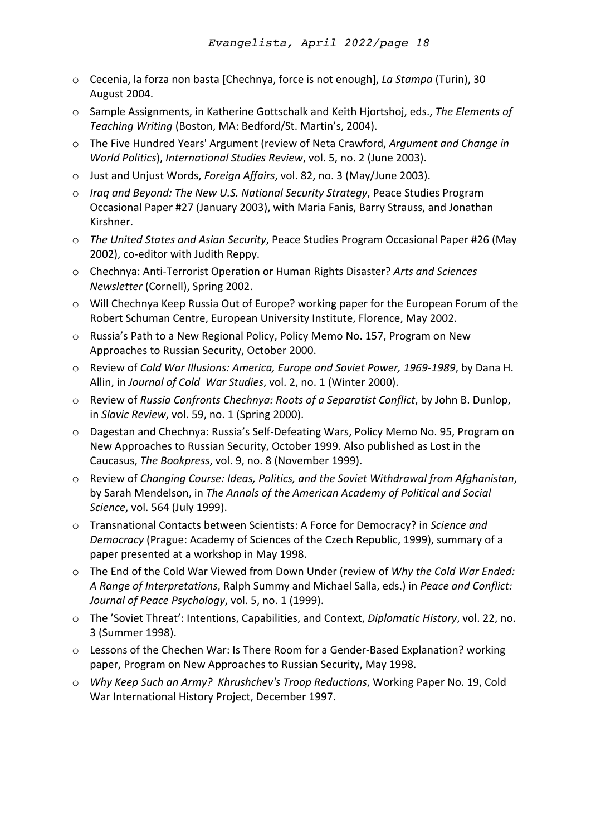- o Cecenia, la forza non basta [Chechnya, force is not enough], *La Stampa* (Turin), 30 August 2004.
- o Sample Assignments, in Katherine Gottschalk and Keith Hjortshoj, eds., *The Elements of Teaching Writing* (Boston, MA: Bedford/St. Martin's, 2004).
- o The Five Hundred Years' Argument (review of Neta Crawford, *Argument and Change in World Politics*), *International Studies Review*, vol. 5, no. 2 (June 2003).
- o Just and Unjust Words, *Foreign Affairs*, vol. 82, no. 3 (May/June 2003).
- o *Iraq and Beyond: The New U.S. National Security Strategy*, Peace Studies Program Occasional Paper #27 (January 2003), with Maria Fanis, Barry Strauss, and Jonathan Kirshner.
- o *The United States and Asian Security*, Peace Studies Program Occasional Paper #26 (May 2002), co-editor with Judith Reppy.
- o Chechnya: Anti-Terrorist Operation or Human Rights Disaster? *Arts and Sciences Newsletter* (Cornell), Spring 2002.
- o Will Chechnya Keep Russia Out of Europe? working paper for the European Forum of the Robert Schuman Centre, European University Institute, Florence, May 2002.
- o Russia's Path to a New Regional Policy, Policy Memo No. 157, Program on New Approaches to Russian Security, October 2000.
- o Review of *Cold War Illusions: America, Europe and Soviet Power, 1969-1989*, by Dana H. Allin, in *Journal of Cold War Studies*, vol. 2, no. 1 (Winter 2000).
- o Review of *Russia Confronts Chechnya: Roots of a Separatist Conflict*, by John B. Dunlop, in *Slavic Review*, vol. 59, no. 1 (Spring 2000).
- o Dagestan and Chechnya: Russia's Self-Defeating Wars, Policy Memo No. 95, Program on New Approaches to Russian Security, October 1999. Also published as Lost in the Caucasus, *The Bookpress*, vol. 9, no. 8 (November 1999).
- o Review of *Changing Course: Ideas, Politics, and the Soviet Withdrawal from Afghanistan*, by Sarah Mendelson, in *The Annals of the American Academy of Political and Social Science*, vol. 564 (July 1999).
- o Transnational Contacts between Scientists: A Force for Democracy? in *Science and Democracy* (Prague: Academy of Sciences of the Czech Republic, 1999), summary of a paper presented at a workshop in May 1998.
- o The End of the Cold War Viewed from Down Under (review of *Why the Cold War Ended: A Range of Interpretations*, Ralph Summy and Michael Salla, eds.) in *Peace and Conflict: Journal of Peace Psychology*, vol. 5, no. 1 (1999).
- o The 'Soviet Threat': Intentions, Capabilities, and Context, *Diplomatic History*, vol. 22, no. 3 (Summer 1998).
- o Lessons of the Chechen War: Is There Room for a Gender-Based Explanation? working paper, Program on New Approaches to Russian Security, May 1998.
- o *Why Keep Such an Army? Khrushchev's Troop Reductions*, Working Paper No. 19, Cold War International History Project, December 1997.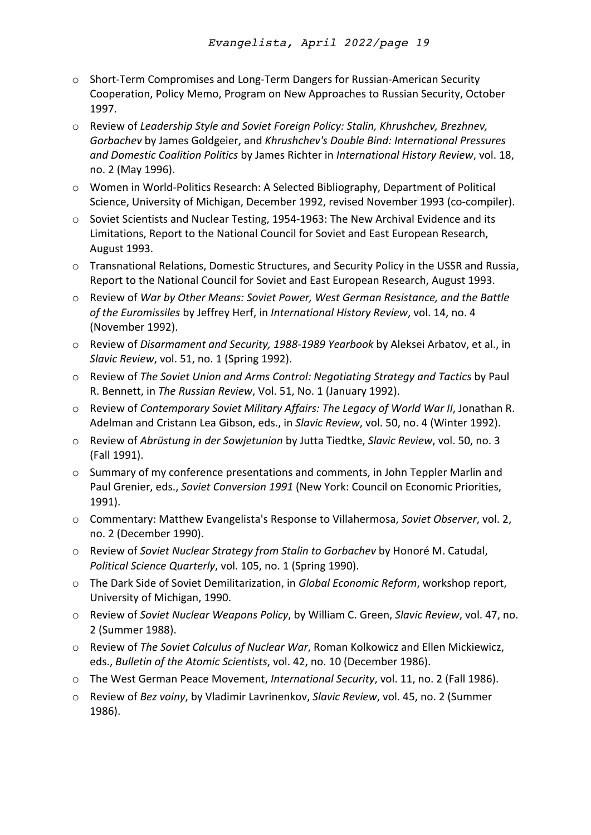- o Short-Term Compromises and Long-Term Dangers for Russian-American Security Cooperation, Policy Memo, Program on New Approaches to Russian Security, October 1997.
- o Review of *Leadership Style and Soviet Foreign Policy: Stalin, Khrushchev, Brezhnev, Gorbachev* by James Goldgeier, and *Khrushchev's Double Bind: International Pressures and Domestic Coalition Politics* by James Richter in *International History Review*, vol. 18, no. 2 (May 1996).
- o Women in World-Politics Research: A Selected Bibliography, Department of Political Science, University of Michigan, December 1992, revised November 1993 (co-compiler).
- o Soviet Scientists and Nuclear Testing, 1954-1963: The New Archival Evidence and its Limitations, Report to the National Council for Soviet and East European Research, August 1993.
- o Transnational Relations, Domestic Structures, and Security Policy in the USSR and Russia, Report to the National Council for Soviet and East European Research, August 1993.
- o Review of *War by Other Means: Soviet Power, West German Resistance, and the Battle of the Euromissiles* by Jeffrey Herf, in *International History Review*, vol. 14, no. 4 (November 1992).
- o Review of *Disarmament and Security, 1988-1989 Yearbook* by Aleksei Arbatov, et al., in *Slavic Review*, vol. 51, no. 1 (Spring 1992).
- o Review of *The Soviet Union and Arms Control: Negotiating Strategy and Tactics* by Paul R. Bennett, in *The Russian Review*, Vol. 51, No. 1 (January 1992).
- o Review of *Contemporary Soviet Military Affairs: The Legacy of World War II*, Jonathan R. Adelman and Cristann Lea Gibson, eds., in *Slavic Review*, vol. 50, no. 4 (Winter 1992).
- o Review of *Abrüstung in der Sowjetunion* by Jutta Tiedtke, *Slavic Review*, vol. 50, no. 3 (Fall 1991).
- $\circ$  Summary of my conference presentations and comments, in John Teppler Marlin and Paul Grenier, eds., *Soviet Conversion 1991* (New York: Council on Economic Priorities, 1991).
- o Commentary: Matthew Evangelista's Response to Villahermosa, *Soviet Observer*, vol. 2, no. 2 (December 1990).
- o Review of *Soviet Nuclear Strategy from Stalin to Gorbachev* by Honoré M. Catudal, *Political Science Quarterly*, vol. 105, no. 1 (Spring 1990).
- o The Dark Side of Soviet Demilitarization, in *Global Economic Reform*, workshop report, University of Michigan, 1990.
- o Review of *Soviet Nuclear Weapons Policy*, by William C. Green, *Slavic Review*, vol. 47, no. 2 (Summer 1988).
- o Review of *The Soviet Calculus of Nuclear War*, Roman Kolkowicz and Ellen Mickiewicz, eds., *Bulletin of the Atomic Scientists*, vol. 42, no. 10 (December 1986).
- o The West German Peace Movement, *International Security*, vol. 11, no. 2 (Fall 1986).
- o Review of *Bez voiny*, by Vladimir Lavrinenkov, *Slavic Review*, vol. 45, no. 2 (Summer 1986).